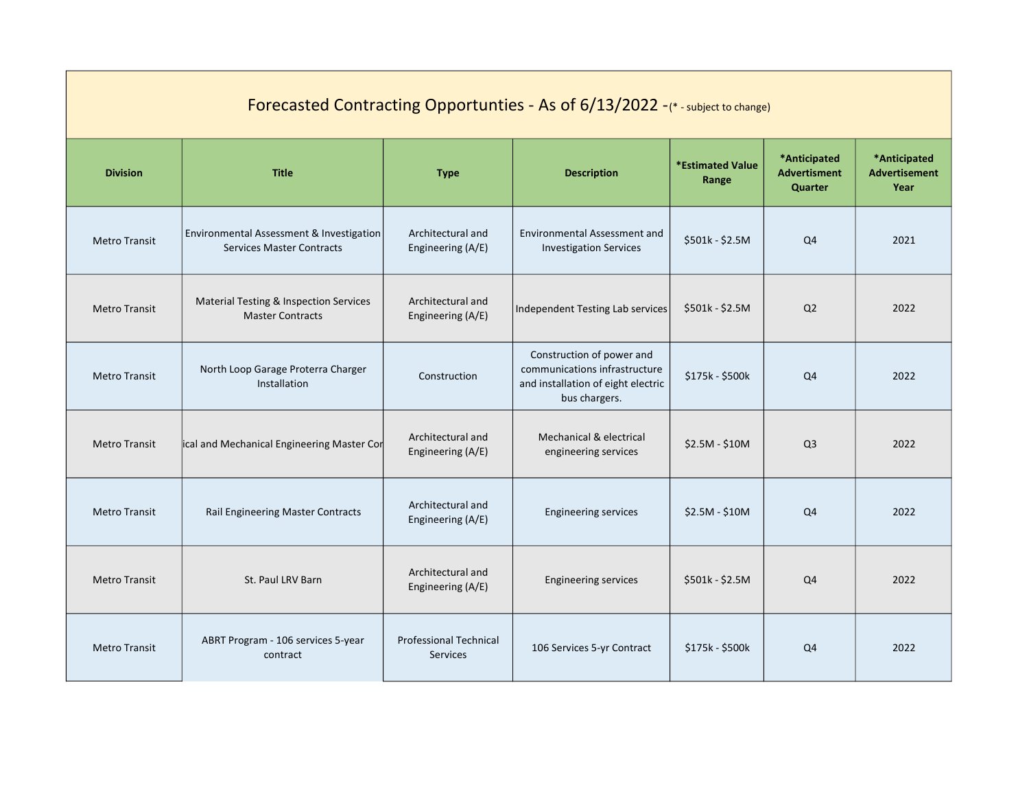| Forecasted Contracting Opportunties - As of 6/13/2022 -(*-subject to change) |                                                                              |                                                  |                                                                                                                   |                                  |                                                |                                              |  |
|------------------------------------------------------------------------------|------------------------------------------------------------------------------|--------------------------------------------------|-------------------------------------------------------------------------------------------------------------------|----------------------------------|------------------------------------------------|----------------------------------------------|--|
| <b>Division</b>                                                              | <b>Title</b>                                                                 | <b>Type</b>                                      | <b>Description</b>                                                                                                | <b>*Estimated Value</b><br>Range | *Anticipated<br><b>Advertisment</b><br>Quarter | *Anticipated<br><b>Advertisement</b><br>Year |  |
| <b>Metro Transit</b>                                                         | Environmental Assessment & Investigation<br><b>Services Master Contracts</b> | Architectural and<br>Engineering (A/E)           | <b>Environmental Assessment and</b><br><b>Investigation Services</b>                                              | $$501k - $2.5M$$                 | Q4                                             | 2021                                         |  |
| <b>Metro Transit</b>                                                         | Material Testing & Inspection Services<br><b>Master Contracts</b>            | Architectural and<br>Engineering (A/E)           | Independent Testing Lab services                                                                                  | $$501k - $2.5M$$                 | Q <sub>2</sub>                                 | 2022                                         |  |
| <b>Metro Transit</b>                                                         | North Loop Garage Proterra Charger<br>Installation                           | Construction                                     | Construction of power and<br>communications infrastructure<br>and installation of eight electric<br>bus chargers. | $$175k - $500k$                  | Q <sub>4</sub>                                 | 2022                                         |  |
| <b>Metro Transit</b>                                                         | ical and Mechanical Engineering Master Cor                                   | Architectural and<br>Engineering (A/E)           | Mechanical & electrical<br>engineering services                                                                   | $$2.5M - $10M$                   | Q <sub>3</sub>                                 | 2022                                         |  |
| <b>Metro Transit</b>                                                         | Rail Engineering Master Contracts                                            | Architectural and<br>Engineering (A/E)           | <b>Engineering services</b>                                                                                       | $$2.5M - $10M$                   | Q <sub>4</sub>                                 | 2022                                         |  |
| <b>Metro Transit</b>                                                         | St. Paul LRV Barn                                                            | Architectural and<br>Engineering (A/E)           | <b>Engineering services</b>                                                                                       | $$501k - $2.5M$$                 | Q4                                             | 2022                                         |  |
| <b>Metro Transit</b>                                                         | ABRT Program - 106 services 5-year<br>contract                               | <b>Professional Technical</b><br><b>Services</b> | 106 Services 5-yr Contract                                                                                        | \$175k - \$500k                  | Q <sub>4</sub>                                 | 2022                                         |  |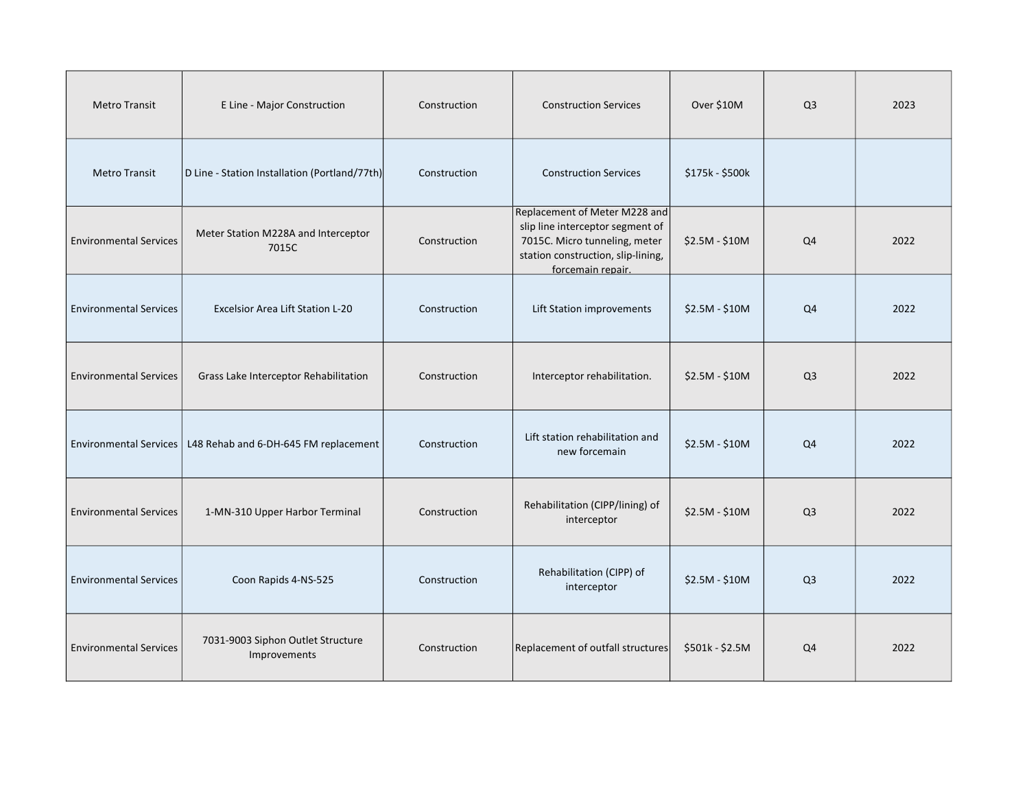| <b>Metro Transit</b>          | E Line - Major Construction                                    | Construction | <b>Construction Services</b>                                                                                                                                  | Over \$10M      | Q <sub>3</sub> | 2023 |
|-------------------------------|----------------------------------------------------------------|--------------|---------------------------------------------------------------------------------------------------------------------------------------------------------------|-----------------|----------------|------|
| <b>Metro Transit</b>          | D Line - Station Installation (Portland/77th)                  | Construction | <b>Construction Services</b>                                                                                                                                  | \$175k - \$500k |                |      |
| <b>Environmental Services</b> | Meter Station M228A and Interceptor<br>7015C                   | Construction | Replacement of Meter M228 and<br>slip line interceptor segment of<br>7015C. Micro tunneling, meter<br>station construction, slip-lining,<br>forcemain repair. | \$2.5M - \$10M  | Q4             | 2022 |
| <b>Environmental Services</b> | <b>Excelsior Area Lift Station L-20</b>                        | Construction | Lift Station improvements                                                                                                                                     | $$2.5M - $10M$  | Q <sub>4</sub> | 2022 |
| <b>Environmental Services</b> | Grass Lake Interceptor Rehabilitation                          | Construction | Interceptor rehabilitation.                                                                                                                                   | $$2.5M - $10M$  | Q <sub>3</sub> | 2022 |
|                               | Environmental Services   L48 Rehab and 6-DH-645 FM replacement | Construction | Lift station rehabilitation and<br>new forcemain                                                                                                              | \$2.5M - \$10M  | Q4             | 2022 |
| <b>Environmental Services</b> | 1-MN-310 Upper Harbor Terminal                                 | Construction | Rehabilitation (CIPP/lining) of<br>interceptor                                                                                                                | \$2.5M - \$10M  | Q <sub>3</sub> | 2022 |
| <b>Environmental Services</b> | Coon Rapids 4-NS-525                                           | Construction | Rehabilitation (CIPP) of<br>interceptor                                                                                                                       | $$2.5M - $10M$  | Q <sub>3</sub> | 2022 |
| <b>Environmental Services</b> | 7031-9003 Siphon Outlet Structure<br>Improvements              | Construction | Replacement of outfall structures                                                                                                                             | \$501k - \$2.5M | Q4             | 2022 |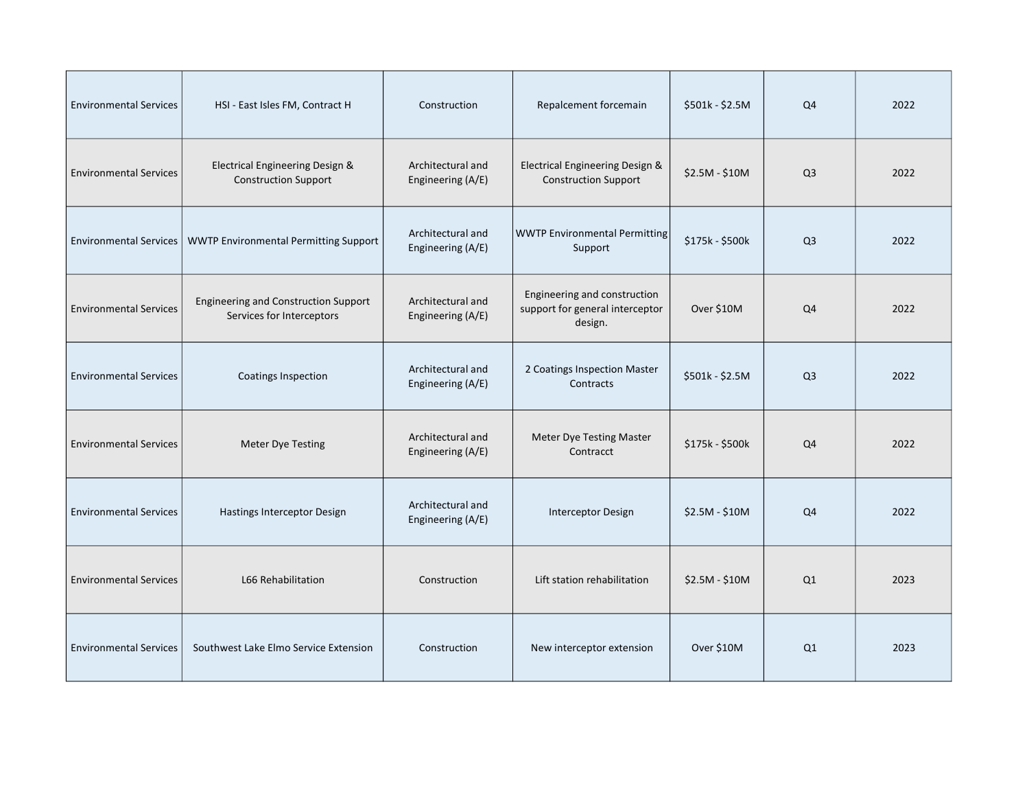| <b>Environmental Services</b> | HSI - East Isles FM, Contract H                                          | Construction                           | Repalcement forcemain                                                      | \$501k - \$2.5M | Q <sub>4</sub> | 2022 |
|-------------------------------|--------------------------------------------------------------------------|----------------------------------------|----------------------------------------------------------------------------|-----------------|----------------|------|
| <b>Environmental Services</b> | Electrical Engineering Design &<br><b>Construction Support</b>           | Architectural and<br>Engineering (A/E) | Electrical Engineering Design &<br><b>Construction Support</b>             | \$2.5M - \$10M  | Q <sub>3</sub> | 2022 |
| <b>Environmental Services</b> | <b>WWTP Environmental Permitting Support</b>                             | Architectural and<br>Engineering (A/E) | <b>WWTP Environmental Permitting</b><br>Support                            | \$175k - \$500k | Q <sub>3</sub> | 2022 |
| <b>Environmental Services</b> | <b>Engineering and Construction Support</b><br>Services for Interceptors | Architectural and<br>Engineering (A/E) | Engineering and construction<br>support for general interceptor<br>design. | Over \$10M      | Q4             | 2022 |
| <b>Environmental Services</b> | <b>Coatings Inspection</b>                                               | Architectural and<br>Engineering (A/E) | 2 Coatings Inspection Master<br>Contracts                                  | \$501k - \$2.5M | Q <sub>3</sub> | 2022 |
| <b>Environmental Services</b> | <b>Meter Dye Testing</b>                                                 | Architectural and<br>Engineering (A/E) | Meter Dye Testing Master<br>Contracct                                      | \$175k - \$500k | Q4             | 2022 |
| <b>Environmental Services</b> | Hastings Interceptor Design                                              | Architectural and<br>Engineering (A/E) | Interceptor Design                                                         | \$2.5M - \$10M  | Q4             | 2022 |
| <b>Environmental Services</b> | L66 Rehabilitation                                                       | Construction                           | Lift station rehabilitation                                                | $$2.5M - $10M$  | Q1             | 2023 |
| <b>Environmental Services</b> | Southwest Lake Elmo Service Extension                                    | Construction                           | New interceptor extension                                                  | Over \$10M      | Q1             | 2023 |